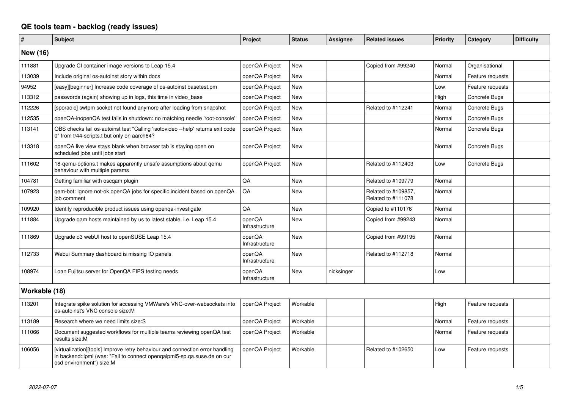## **QE tools team - backlog (ready issues)**

| #               | <b>Subject</b>                                                                                                                                                                        | Project                  | <b>Status</b> | Assignee   | <b>Related issues</b>                     | <b>Priority</b> | Category         | <b>Difficulty</b> |
|-----------------|---------------------------------------------------------------------------------------------------------------------------------------------------------------------------------------|--------------------------|---------------|------------|-------------------------------------------|-----------------|------------------|-------------------|
| <b>New (16)</b> |                                                                                                                                                                                       |                          |               |            |                                           |                 |                  |                   |
| 111881          | Upgrade CI container image versions to Leap 15.4                                                                                                                                      | openQA Project           | <b>New</b>    |            | Copied from #99240                        | Normal          | Organisational   |                   |
| 113039          | Include original os-autoinst story within docs                                                                                                                                        | openQA Project           | <b>New</b>    |            |                                           | Normal          | Feature requests |                   |
| 94952           | [easy][beginner] Increase code coverage of os-autoinst basetest.pm                                                                                                                    | openQA Project           | <b>New</b>    |            |                                           | Low             | Feature requests |                   |
| 113312          | passwords (again) showing up in logs, this time in video_base                                                                                                                         | openQA Project           | <b>New</b>    |            |                                           | High            | Concrete Bugs    |                   |
| 112226          | [sporadic] swtpm socket not found anymore after loading from snapshot                                                                                                                 | openQA Project           | <b>New</b>    |            | Related to #112241                        | Normal          | Concrete Bugs    |                   |
| 112535          | openQA-inopenQA test fails in shutdown: no matching needle 'root-console'                                                                                                             | openQA Project           | <b>New</b>    |            |                                           | Normal          | Concrete Bugs    |                   |
| 113141          | OBS checks fail os-autoinst test "Calling 'isotovideo --help' returns exit code<br>0" from t/44-scripts.t but only on aarch64?                                                        | openQA Project           | New           |            |                                           | Normal          | Concrete Bugs    |                   |
| 113318          | openQA live view stays blank when browser tab is staying open on<br>scheduled jobs until jobs start                                                                                   | openQA Project           | <b>New</b>    |            |                                           | Normal          | Concrete Bugs    |                   |
| 111602          | 18-gemu-options.t makes apparently unsafe assumptions about gemu<br>behaviour with multiple params                                                                                    | openQA Project           | <b>New</b>    |            | Related to #112403                        | Low             | Concrete Bugs    |                   |
| 104781          | Getting familiar with oscgam plugin                                                                                                                                                   | QA                       | <b>New</b>    |            | Related to #109779                        | Normal          |                  |                   |
| 107923          | gem-bot: Ignore not-ok openQA jobs for specific incident based on openQA<br>job comment                                                                                               | QA                       | <b>New</b>    |            | Related to #109857.<br>Related to #111078 | Normal          |                  |                   |
| 109920          | Identify reproducible product issues using openga-investigate                                                                                                                         | QA                       | <b>New</b>    |            | Copied to #110176                         | Normal          |                  |                   |
| 111884          | Upgrade qam hosts maintained by us to latest stable, i.e. Leap 15.4                                                                                                                   | openQA<br>Infrastructure | <b>New</b>    |            | Copied from #99243                        | Normal          |                  |                   |
| 111869          | Upgrade o3 webUI host to openSUSE Leap 15.4                                                                                                                                           | openQA<br>Infrastructure | <b>New</b>    |            | Copied from #99195                        | Normal          |                  |                   |
| 112733          | Webui Summary dashboard is missing IO panels                                                                                                                                          | openQA<br>Infrastructure | <b>New</b>    |            | Related to #112718                        | Normal          |                  |                   |
| 108974          | Loan Fujitsu server for OpenQA FIPS testing needs                                                                                                                                     | openQA<br>Infrastructure | <b>New</b>    | nicksinger |                                           | Low             |                  |                   |
| Workable (18)   |                                                                                                                                                                                       |                          |               |            |                                           |                 |                  |                   |
| 113201          | Integrate spike solution for accessing VMWare's VNC-over-websockets into<br>os-autoinst's VNC console size:M                                                                          | openQA Project           | Workable      |            |                                           | High            | Feature requests |                   |
| 113189          | Research where we need limits size:S                                                                                                                                                  | openQA Project           | Workable      |            |                                           | Normal          | Feature requests |                   |
| 111066          | Document suggested workflows for multiple teams reviewing openQA test<br>results size:M                                                                                               | openQA Project           | Workable      |            |                                           | Normal          | Feature requests |                   |
| 106056          | [virtualization][tools] Improve retry behaviour and connection error handling<br>in backend::ipmi (was: "Fail to connect opengaipmi5-sp.qa.suse.de on our<br>osd environment") size:M | openQA Project           | Workable      |            | Related to #102650                        | Low             | Feature requests |                   |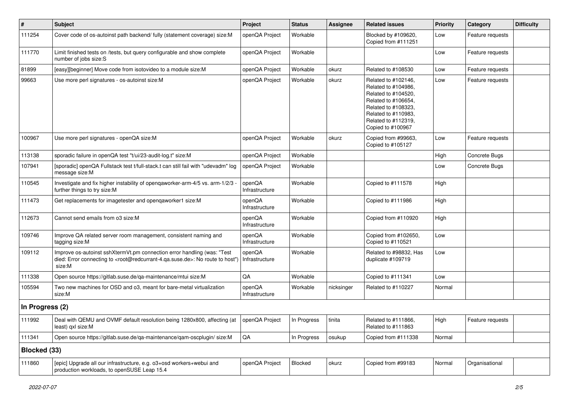| #               | <b>Subject</b>                                                                                                                                                                                    | Project                  | <b>Status</b> | <b>Assignee</b> | <b>Related issues</b>                                                                                                                                                              | <b>Priority</b> | Category         | <b>Difficulty</b> |
|-----------------|---------------------------------------------------------------------------------------------------------------------------------------------------------------------------------------------------|--------------------------|---------------|-----------------|------------------------------------------------------------------------------------------------------------------------------------------------------------------------------------|-----------------|------------------|-------------------|
| 111254          | Cover code of os-autoinst path backend/ fully (statement coverage) size:M                                                                                                                         | openQA Project           | Workable      |                 | Blocked by #109620,<br>Copied from #111251                                                                                                                                         | Low             | Feature requests |                   |
| 111770          | Limit finished tests on /tests, but query configurable and show complete<br>number of jobs size:S                                                                                                 | openQA Project           | Workable      |                 |                                                                                                                                                                                    | Low             | Feature requests |                   |
| 81899           | [easy][beginner] Move code from isotovideo to a module size:M                                                                                                                                     | openQA Project           | Workable      | okurz           | Related to #108530                                                                                                                                                                 | Low             | Feature requests |                   |
| 99663           | Use more perl signatures - os-autoinst size:M                                                                                                                                                     | openQA Project           | Workable      | okurz           | Related to #102146,<br>Related to #104986,<br>Related to #104520,<br>Related to #106654,<br>Related to #108323,<br>Related to #110983,<br>Related to #112319,<br>Copied to #100967 | Low             | Feature requests |                   |
| 100967          | Use more perl signatures - openQA size:M                                                                                                                                                          | openQA Project           | Workable      | okurz           | Copied from #99663,<br>Copied to #105127                                                                                                                                           | Low             | Feature requests |                   |
| 113138          | sporadic failure in openQA test "t/ui/23-audit-log.t" size:M                                                                                                                                      | openQA Project           | Workable      |                 |                                                                                                                                                                                    | High            | Concrete Bugs    |                   |
| 107941          | [sporadic] openQA Fullstack test t/full-stack.t can still fail with "udevadm" log<br>message size:M                                                                                               | openQA Project           | Workable      |                 |                                                                                                                                                                                    | Low             | Concrete Bugs    |                   |
| 110545          | Investigate and fix higher instability of opengaworker-arm-4/5 vs. arm-1/2/3 -<br>further things to try size:M                                                                                    | openQA<br>Infrastructure | Workable      |                 | Copied to #111578                                                                                                                                                                  | High            |                  |                   |
| 111473          | Get replacements for imagetester and openqaworker1 size:M                                                                                                                                         | openQA<br>Infrastructure | Workable      |                 | Copied to #111986                                                                                                                                                                  | High            |                  |                   |
| 112673          | Cannot send emails from o3 size:M                                                                                                                                                                 | openQA<br>Infrastructure | Workable      |                 | Copied from #110920                                                                                                                                                                | High            |                  |                   |
| 109746          | Improve QA related server room management, consistent naming and<br>tagging size:M                                                                                                                | openQA<br>Infrastructure | Workable      |                 | Copied from #102650,<br>Copied to #110521                                                                                                                                          | Low             |                  |                   |
| 109112          | Improve os-autoinst sshXtermVt.pm connection error handling (was: "Test<br>died: Error connecting to <root@redcurrant-4.qa.suse.de>: No route to host")<br/>size:M</root@redcurrant-4.qa.suse.de> | openQA<br>Infrastructure | Workable      |                 | Related to #98832, Has<br>duplicate #109719                                                                                                                                        | Low             |                  |                   |
| 111338          | Open source https://gitlab.suse.de/qa-maintenance/mtui size:M                                                                                                                                     | QA                       | Workable      |                 | Copied to #111341                                                                                                                                                                  | Low             |                  |                   |
| 105594          | Two new machines for OSD and o3, meant for bare-metal virtualization<br>size:M                                                                                                                    | openQA<br>Infrastructure | Workable      | nicksinger      | Related to #110227                                                                                                                                                                 | Normal          |                  |                   |
| In Progress (2) |                                                                                                                                                                                                   |                          |               |                 |                                                                                                                                                                                    |                 |                  |                   |
| 111992          | Deal with QEMU and OVMF default resolution being 1280x800, affecting (at<br>least) qxl size:M                                                                                                     | openQA Project           | In Progress   | tinita          | Related to #111866,<br>Related to #111863                                                                                                                                          | High            | Feature requests |                   |
| 111341          | Open source https://gitlab.suse.de/qa-maintenance/qam-oscplugin/ size:M                                                                                                                           | QA                       | In Progress   | osukup          | Copied from #111338                                                                                                                                                                | Normal          |                  |                   |
| Blocked (33)    |                                                                                                                                                                                                   |                          |               |                 |                                                                                                                                                                                    |                 |                  |                   |
| 111860          | [epic] Upgrade all our infrastructure, e.g. o3+osd workers+webui and<br>production workloads, to openSUSE Leap 15.4                                                                               | openQA Project           | Blocked       | okurz           | Copied from #99183                                                                                                                                                                 | Normal          | Organisational   |                   |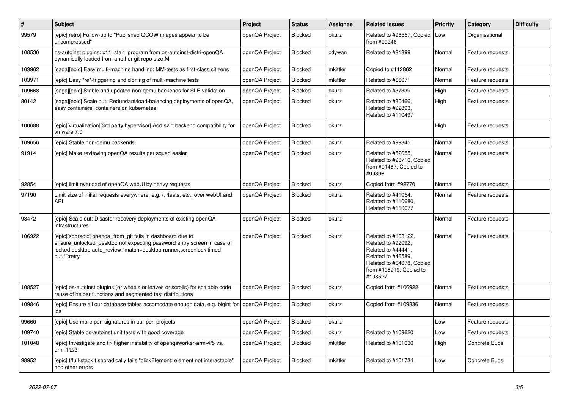| $\#$   | <b>Subject</b>                                                                                                                                                                                                             | <b>Project</b> | <b>Status</b>  | <b>Assignee</b> | <b>Related issues</b>                                                                                                                                    | <b>Priority</b> | Category         | <b>Difficulty</b> |
|--------|----------------------------------------------------------------------------------------------------------------------------------------------------------------------------------------------------------------------------|----------------|----------------|-----------------|----------------------------------------------------------------------------------------------------------------------------------------------------------|-----------------|------------------|-------------------|
| 99579  | [epic][retro] Follow-up to "Published QCOW images appear to be<br>uncompressed"                                                                                                                                            | openQA Project | <b>Blocked</b> | okurz           | Related to #96557, Copied<br>from #99246                                                                                                                 | Low             | Organisational   |                   |
| 108530 | os-autoinst plugins: x11 start program from os-autoinst-distri-openQA<br>dynamically loaded from another git repo size:M                                                                                                   | openQA Project | <b>Blocked</b> | cdywan          | Related to #81899                                                                                                                                        | Normal          | Feature requests |                   |
| 103962 | [saga][epic] Easy multi-machine handling: MM-tests as first-class citizens                                                                                                                                                 | openQA Project | Blocked        | mkittler        | Copied to #112862                                                                                                                                        | Normal          | Feature requests |                   |
| 103971 | [epic] Easy *re*-triggering and cloning of multi-machine tests                                                                                                                                                             | openQA Project | Blocked        | mkittler        | Related to #66071                                                                                                                                        | Normal          | Feature requests |                   |
| 109668 | [saga][epic] Stable and updated non-gemu backends for SLE validation                                                                                                                                                       | openQA Project | Blocked        | okurz           | Related to #37339                                                                                                                                        | High            | Feature requests |                   |
| 80142  | [saga][epic] Scale out: Redundant/load-balancing deployments of openQA,<br>easy containers, containers on kubernetes                                                                                                       | openQA Project | Blocked        | okurz           | Related to #80466,<br>Related to #92893,<br>Related to #110497                                                                                           | High            | Feature requests |                   |
| 100688 | [epic][virtualization][3rd party hypervisor] Add svirt backend compatibility for<br>vmware 7.0                                                                                                                             | openQA Project | <b>Blocked</b> | okurz           |                                                                                                                                                          | High            | Feature requests |                   |
| 109656 | [epic] Stable non-gemu backends                                                                                                                                                                                            | openQA Project | Blocked        | okurz           | Related to #99345                                                                                                                                        | Normal          | Feature requests |                   |
| 91914  | [epic] Make reviewing openQA results per squad easier                                                                                                                                                                      | openQA Project | Blocked        | okurz           | Related to #52655,<br>Related to #93710, Copied<br>from #91467, Copied to<br>#99306                                                                      | Normal          | Feature requests |                   |
| 92854  | [epic] limit overload of openQA webUI by heavy requests                                                                                                                                                                    | openQA Project | <b>Blocked</b> | okurz           | Copied from #92770                                                                                                                                       | Normal          | Feature requests |                   |
| 97190  | Limit size of initial requests everywhere, e.g. /, /tests, etc., over webUI and<br>API                                                                                                                                     | openQA Project | Blocked        | okurz           | Related to #41054,<br>Related to #110680,<br>Related to #110677                                                                                          | Normal          | Feature requests |                   |
| 98472  | [epic] Scale out: Disaster recovery deployments of existing openQA<br>infrastructures                                                                                                                                      | openQA Project | Blocked        | okurz           |                                                                                                                                                          | Normal          | Feature requests |                   |
| 106922 | [epic][sporadic] openqa_from_git fails in dashboard due to<br>ensure_unlocked_desktop not expecting password entry screen in case of<br>locked desktop auto_review:"match=desktop-runner, screenlock timed<br>out.*":retry | openQA Project | <b>Blocked</b> | okurz           | Related to #103122,<br>Related to #92092.<br>Related to #44441,<br>Related to #46589.<br>Related to #64078, Copied<br>from #106919, Copied to<br>#108527 | Normal          | Feature requests |                   |
| 108527 | [epic] os-autoinst plugins (or wheels or leaves or scrolls) for scalable code<br>reuse of helper functions and segmented test distributions                                                                                | openQA Project | Blocked        | okurz           | Copied from #106922                                                                                                                                      | Normal          | Feature requests |                   |
| 109846 | [epic] Ensure all our database tables accomodate enough data, e.g. bigint for<br>ids                                                                                                                                       | openQA Project | Blocked        | okurz           | Copied from #109836                                                                                                                                      | Normal          | Feature requests |                   |
| 99660  | [epic] Use more perl signatures in our perl projects                                                                                                                                                                       | openQA Project | Blocked        | okurz           |                                                                                                                                                          | Low             | Feature requests |                   |
| 109740 | [epic] Stable os-autoinst unit tests with good coverage                                                                                                                                                                    | openQA Project | Blocked        | okurz           | Related to #109620                                                                                                                                       | Low             | Feature requests |                   |
| 101048 | [epic] Investigate and fix higher instability of openqaworker-arm-4/5 vs.<br>$arm-1/2/3$                                                                                                                                   | openQA Project | Blocked        | mkittler        | Related to #101030                                                                                                                                       | High            | Concrete Bugs    |                   |
| 98952  | [epic] t/full-stack.t sporadically fails "clickElement: element not interactable"<br>and other errors                                                                                                                      | openQA Project | Blocked        | mkittler        | Related to #101734                                                                                                                                       | Low             | Concrete Bugs    |                   |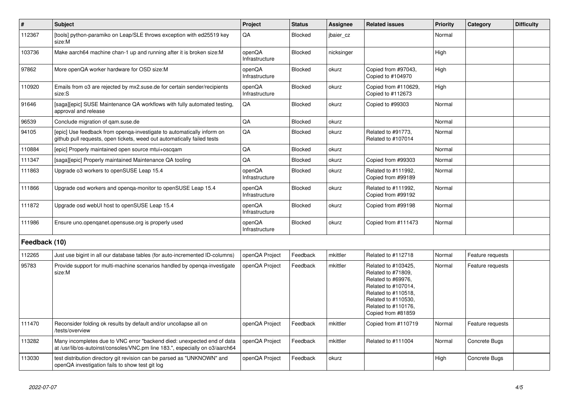| $\vert$ #     | <b>Subject</b>                                                                                                                                          | Project                  | <b>Status</b>  | <b>Assignee</b> | <b>Related issues</b>                                                                                                                                                             | <b>Priority</b> | Category         | <b>Difficulty</b> |
|---------------|---------------------------------------------------------------------------------------------------------------------------------------------------------|--------------------------|----------------|-----------------|-----------------------------------------------------------------------------------------------------------------------------------------------------------------------------------|-----------------|------------------|-------------------|
| 112367        | [tools] python-paramiko on Leap/SLE throws exception with ed25519 key<br>size:M                                                                         | QA                       | Blocked        | jbaier_cz       |                                                                                                                                                                                   | Normal          |                  |                   |
| 103736        | Make aarch64 machine chan-1 up and running after it is broken size: M                                                                                   | openQA<br>Infrastructure | Blocked        | nicksinger      |                                                                                                                                                                                   | High            |                  |                   |
| 97862         | More openQA worker hardware for OSD size:M                                                                                                              | openQA<br>Infrastructure | Blocked        | okurz           | Copied from #97043,<br>Copied to #104970                                                                                                                                          | High            |                  |                   |
| 110920        | Emails from o3 are rejected by mx2.suse.de for certain sender/recipients<br>size:S                                                                      | openQA<br>Infrastructure | <b>Blocked</b> | okurz           | Copied from #110629,<br>Copied to #112673                                                                                                                                         | High            |                  |                   |
| 91646         | [saga][epic] SUSE Maintenance QA workflows with fully automated testing,<br>approval and release                                                        | QA                       | Blocked        | okurz           | Copied to #99303                                                                                                                                                                  | Normal          |                  |                   |
| 96539         | Conclude migration of gam.suse.de                                                                                                                       | QA                       | Blocked        | okurz           |                                                                                                                                                                                   | Normal          |                  |                   |
| 94105         | [epic] Use feedback from openga-investigate to automatically inform on<br>github pull requests, open tickets, weed out automatically failed tests       | $\mathsf{QA}$            | Blocked        | okurz           | Related to #91773,<br>Related to #107014                                                                                                                                          | Normal          |                  |                   |
| 110884        | [epic] Properly maintained open source mtui+oscqam                                                                                                      | QA                       | Blocked        | okurz           |                                                                                                                                                                                   | Normal          |                  |                   |
| 111347        | [saga][epic] Properly maintained Maintenance QA tooling                                                                                                 | QA                       | <b>Blocked</b> | okurz           | Copied from #99303                                                                                                                                                                | Normal          |                  |                   |
| 111863        | Upgrade o3 workers to openSUSE Leap 15.4                                                                                                                | openQA<br>Infrastructure | Blocked        | okurz           | Related to #111992,<br>Copied from #99189                                                                                                                                         | Normal          |                  |                   |
| 111866        | Upgrade osd workers and openqa-monitor to openSUSE Leap 15.4                                                                                            | openQA<br>Infrastructure | Blocked        | okurz           | Related to #111992,<br>Copied from #99192                                                                                                                                         | Normal          |                  |                   |
| 111872        | Upgrade osd webUI host to openSUSE Leap 15.4                                                                                                            | openQA<br>Infrastructure | Blocked        | okurz           | Copied from #99198                                                                                                                                                                | Normal          |                  |                   |
| 111986        | Ensure uno.openganet.opensuse.org is properly used                                                                                                      | openQA<br>Infrastructure | Blocked        | okurz           | Copied from #111473                                                                                                                                                               | Normal          |                  |                   |
| Feedback (10) |                                                                                                                                                         |                          |                |                 |                                                                                                                                                                                   |                 |                  |                   |
| 112265        | Just use bigint in all our database tables (for auto-incremented ID-columns)                                                                            | openQA Project           | Feedback       | mkittler        | Related to #112718                                                                                                                                                                | Normal          | Feature requests |                   |
| 95783         | Provide support for multi-machine scenarios handled by openqa-investigate<br>size:M                                                                     | openQA Project           | Feedback       | mkittler        | Related to #103425,<br>Related to #71809,<br>Related to #69976,<br>Related to #107014,<br>Related to #110518,<br>Related to #110530,<br>Related to #110176,<br>Copied from #81859 | Normal          | Feature requests |                   |
| 111470        | Reconsider folding ok results by default and/or uncollapse all on<br>/tests/overview                                                                    | openQA Project           | Feedback       | mkittler        | Copied from #110719                                                                                                                                                               | Normal          | Feature requests |                   |
| 113282        | Many incompletes due to VNC error "backend died: unexpected end of data<br>at /usr/lib/os-autoinst/consoles/VNC.pm line 183.", especially on o3/aarch64 | openQA Project           | Feedback       | mkittler        | Related to #111004                                                                                                                                                                | Normal          | Concrete Bugs    |                   |
| 113030        | test distribution directory git revision can be parsed as "UNKNOWN" and<br>openQA investigation fails to show test git log                              | openQA Project           | Feedback       | okurz           |                                                                                                                                                                                   | High            | Concrete Bugs    |                   |